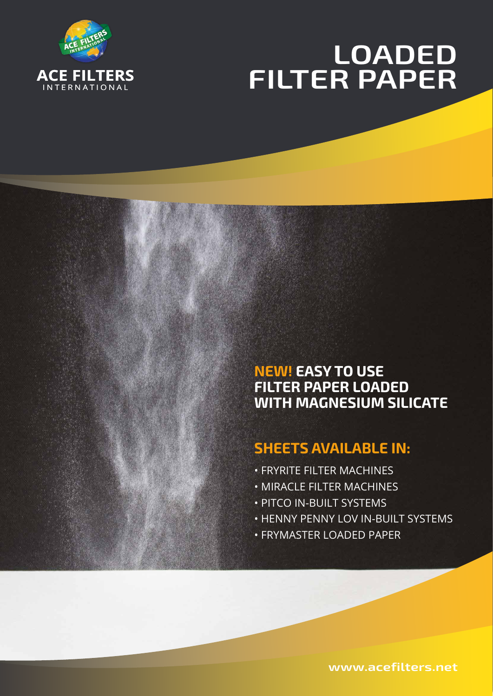

# **LOADED FILTER PAPER**

# **NEW! EASY TO USE FILTER PAPER LOADED WITH MAGNESIUM SILICATE**

# **SHEETS AVAILABLE IN:**

- FRYRITE FILTER MACHINES
- MIRACLE FILTER MACHINES
- PITCO IN-BUILT SYSTEMS
- HENNY PENNY LOV IN-BUILT SYSTEMS
- FRYMASTER LOADED PAPER

**www.acefilters.net**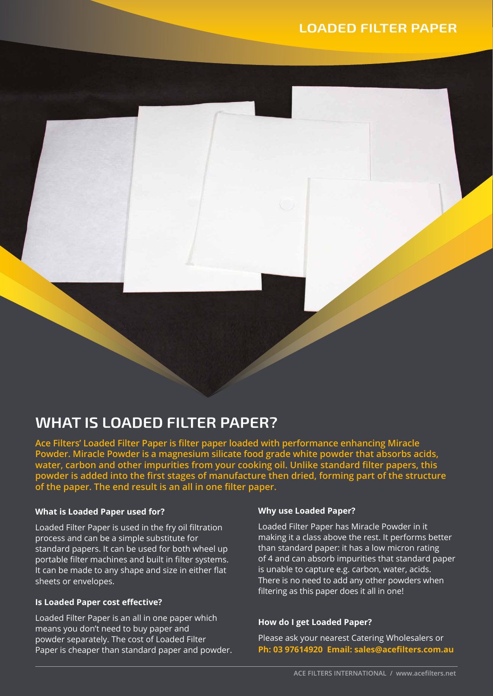# **WHAT IS LOADED FILTER PAPER?**

**Ace Filters' Loaded Filter Paper is filter paper loaded with performance enhancing Miracle Powder. Miracle Powder is a magnesium silicate food grade white powder that absorbs acids, water, carbon and other impurities from your cooking oil. Unlike standard filter papers, this powder is added into the first stages of manufacture then dried, forming part of the structure of the paper. The end result is an all in one filter paper.**

#### **What is Loaded Paper used for?**

Loaded Filter Paper is used in the fry oil filtration process and can be a simple substitute for standard papers. It can be used for both wheel up portable filter machines and built in filter systems. It can be made to any shape and size in either flat sheets or envelopes.

#### **Is Loaded Paper cost effective?**

Loaded Filter Paper is an all in one paper which means you don't need to buy paper and powder separately. The cost of Loaded Filter Paper is cheaper than standard paper and powder.

#### **Why use Loaded Paper?**

Loaded Filter Paper has Miracle Powder in it making it a class above the rest. It performs better than standard paper: it has a low micron rating of 4 and can absorb impurities that standard paper is unable to capture e.g. carbon, water, acids. There is no need to add any other powders when filtering as this paper does it all in one!

#### **How do I get Loaded Paper?**

Please ask your nearest Catering Wholesalers or **Ph: 03 97614920 Email: sales@acefilters.com.au**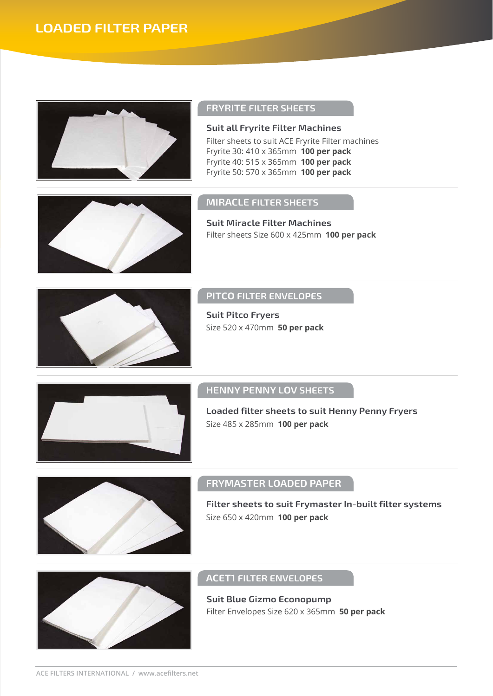

#### **FRYRITE FILTER SHEETS**

Filter sheets to suit ACE Fryrite Filter machines Fryrite 30: 410 x 365mm **100 per pack** Fryrite 40: 515 x 365mm **100 per pack** Fryrite 50: 570 x 365mm **100 per pack Suit all Fryrite Filter Machines**

#### **MIRACLE FILTER SHEETS**

Filter sheets Size 600 x 425mm **100 per pack Suit Miracle Filter Machines**



#### **PITCO FILTER ENVELOPES**

Size 520 x 470mm **50 per pack Suit Pitco Fryers**



### **HENNY PENNY LOV SHEETS**

Size 485 x 285mm **100 per pack Loaded filter sheets to suit Henny Penny Fryers**



## **FRYMASTER LOADED PAPER**

Size 650 x 420mm **100 per pack Filter sheets to suit Frymaster In-built filter systems**



#### **ACET1 FILTER ENVELOPES**

Filter Envelopes Size 620 x 365mm **50 per pack Suit Blue Gizmo Econopump**